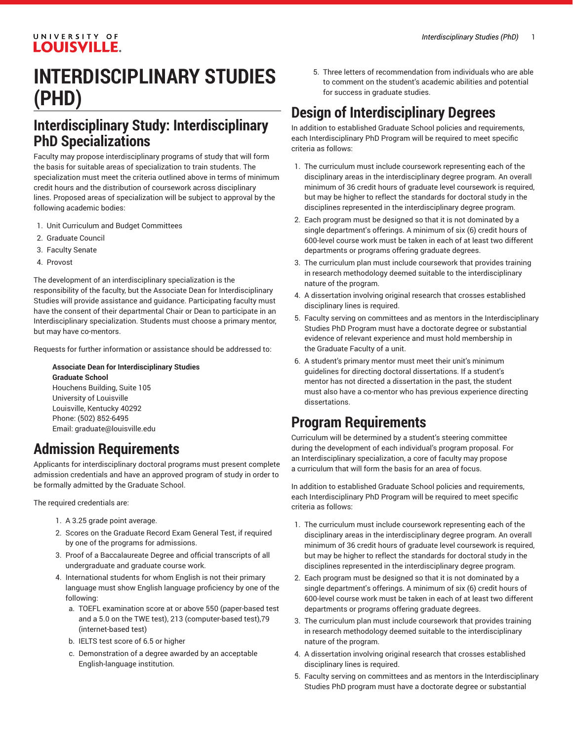#### UNIVERSITY OF **LOUISVILLE.**

## **INTERDISCIPLINARY STUDIES (PHD)**

#### **Interdisciplinary Study: Interdisciplinary PhD Specializations**

Faculty may propose interdisciplinary programs of study that will form the basis for suitable areas of specialization to train students. The specialization must meet the criteria outlined above in terms of minimum credit hours and the distribution of coursework across disciplinary lines. Proposed areas of specialization will be subject to approval by the following academic bodies:

- 1. Unit Curriculum and Budget Committees
- 2. Graduate Council
- 3. Faculty Senate
- 4. Provost

The development of an interdisciplinary specialization is the responsibility of the faculty, but the Associate Dean for Interdisciplinary Studies will provide assistance and guidance. Participating faculty must have the consent of their departmental Chair or Dean to participate in an Interdisciplinary specialization. Students must choose a primary mentor, but may have co-mentors.

Requests for further information or assistance should be addressed to:

**Associate Dean for Interdisciplinary Studies Graduate School** Houchens Building, Suite 105 University of Louisville Louisville, Kentucky 40292 Phone: (502) 852-6495 Email: [graduate@louisville.edu](mailto:graduate@louisville.edu)

#### **Admission Requirements**

Applicants for interdisciplinary doctoral programs must present complete admission credentials and have an approved program of study in order to be formally admitted by the Graduate School.

The required credentials are:

- 1. A 3.25 grade point average.
- 2. Scores on the Graduate Record Exam General Test, if required by one of the programs for admissions.
- 3. Proof of a Baccalaureate Degree and official transcripts of all undergraduate and graduate course work.
- 4. International students for whom English is not their primary language must show English language proficiency by one of the following:
	- a. TOEFL examination score at or above 550 (paper-based test and a 5.0 on the TWE test), 213 (computer-based test),79 (internet-based test)
	- b. IELTS test score of 6.5 or higher
	- c. Demonstration of a degree awarded by an acceptable English-language institution.

5. Three letters of recommendation from individuals who are able to comment on the student's academic abilities and potential for success in graduate studies.

### **Design of Interdisciplinary Degrees**

In addition to established Graduate School policies and requirements, each Interdisciplinary PhD Program will be required to meet specific criteria as follows:

- 1. The curriculum must include coursework representing each of the disciplinary areas in the interdisciplinary degree program. An overall minimum of 36 credit hours of graduate level coursework is required, but may be higher to reflect the standards for doctoral study in the disciplines represented in the interdisciplinary degree program.
- 2. Each program must be designed so that it is not dominated by a single department's offerings. A minimum of six (6) credit hours of 600-level course work must be taken in each of at least two different departments or programs offering graduate degrees.
- 3. The curriculum plan must include coursework that provides training in research methodology deemed suitable to the interdisciplinary nature of the program.
- 4. A dissertation involving original research that crosses established disciplinary lines is required.
- 5. Faculty serving on committees and as mentors in the Interdisciplinary Studies PhD Program must have a doctorate degree or substantial evidence of relevant experience and must hold membership in the Graduate Faculty of a unit.
- 6. A student's primary mentor must meet their unit's minimum guidelines for directing doctoral dissertations. If a student's mentor has not directed a dissertation in the past, the student must also have a co-mentor who has previous experience directing dissertations.

#### **Program Requirements**

Curriculum will be determined by a student's steering committee during the development of each individual's program proposal. For an Interdisciplinary specialization, a core of faculty may propose a curriculum that will form the basis for an area of focus.

In addition to established Graduate School policies and requirements, each Interdisciplinary PhD Program will be required to meet specific criteria as follows:

- 1. The curriculum must include coursework representing each of the disciplinary areas in the interdisciplinary degree program. An overall minimum of 36 credit hours of graduate level coursework is required, but may be higher to reflect the standards for doctoral study in the disciplines represented in the interdisciplinary degree program.
- 2. Each program must be designed so that it is not dominated by a single department's offerings. A minimum of six (6) credit hours of 600-level course work must be taken in each of at least two different departments or programs offering graduate degrees.
- 3. The curriculum plan must include coursework that provides training in research methodology deemed suitable to the interdisciplinary nature of the program.
- 4. A dissertation involving original research that crosses established disciplinary lines is required.
- 5. Faculty serving on committees and as mentors in the Interdisciplinary Studies PhD program must have a doctorate degree or substantial